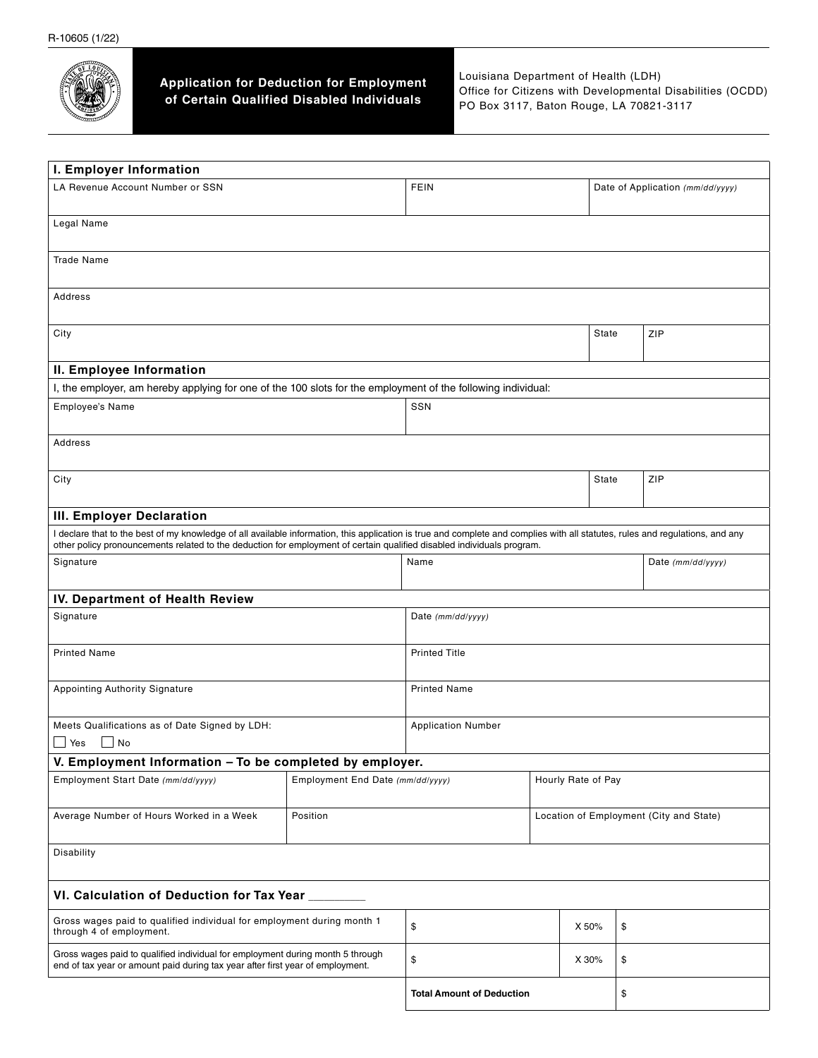

**Application for Deduction for Employment of Certain Qualified Disabled Individuals**

Louisiana Department of Health (LDH) Office for Citizens with Developmental Disabilities (OCDD) PO Box 3117, Baton Rouge, LA 70821-3117

| I. Employer Information                                                                                                                                                                                                                                                                                 |                                  |                                  |                                         |                    |                                  |                   |  |
|---------------------------------------------------------------------------------------------------------------------------------------------------------------------------------------------------------------------------------------------------------------------------------------------------------|----------------------------------|----------------------------------|-----------------------------------------|--------------------|----------------------------------|-------------------|--|
| LA Revenue Account Number or SSN                                                                                                                                                                                                                                                                        |                                  | <b>FEIN</b>                      |                                         |                    | Date of Application (mm/dd/yyyy) |                   |  |
| Legal Name                                                                                                                                                                                                                                                                                              |                                  |                                  |                                         |                    |                                  |                   |  |
| <b>Trade Name</b>                                                                                                                                                                                                                                                                                       |                                  |                                  |                                         |                    |                                  |                   |  |
| Address                                                                                                                                                                                                                                                                                                 |                                  |                                  |                                         |                    |                                  |                   |  |
| City                                                                                                                                                                                                                                                                                                    |                                  |                                  | State                                   |                    | ZIP                              |                   |  |
| II. Employee Information                                                                                                                                                                                                                                                                                |                                  |                                  |                                         |                    |                                  |                   |  |
| I, the employer, am hereby applying for one of the 100 slots for the employment of the following individual:                                                                                                                                                                                            |                                  |                                  |                                         |                    |                                  |                   |  |
| Employee's Name                                                                                                                                                                                                                                                                                         | SSN                              |                                  |                                         |                    |                                  |                   |  |
| Address                                                                                                                                                                                                                                                                                                 |                                  |                                  |                                         |                    |                                  |                   |  |
| City                                                                                                                                                                                                                                                                                                    |                                  |                                  |                                         |                    | State                            | ZIP               |  |
| III. Employer Declaration                                                                                                                                                                                                                                                                               |                                  |                                  |                                         |                    |                                  |                   |  |
| I declare that to the best of my knowledge of all available information, this application is true and complete and complies with all statutes, rules and regulations, and any<br>other policy pronouncements related to the deduction for employment of certain qualified disabled individuals program. |                                  |                                  |                                         |                    |                                  |                   |  |
| Signature                                                                                                                                                                                                                                                                                               |                                  | Name                             |                                         |                    |                                  | Date (mm/dd/yyyy) |  |
| IV. Department of Health Review                                                                                                                                                                                                                                                                         |                                  |                                  |                                         |                    |                                  |                   |  |
| Signature                                                                                                                                                                                                                                                                                               |                                  | Date (mm/dd/yyyy)                |                                         |                    |                                  |                   |  |
| <b>Printed Name</b>                                                                                                                                                                                                                                                                                     |                                  | <b>Printed Title</b>             |                                         |                    |                                  |                   |  |
| Appointing Authority Signature                                                                                                                                                                                                                                                                          |                                  | <b>Printed Name</b>              |                                         |                    |                                  |                   |  |
| Meets Qualifications as of Date Signed by LDH:<br>  Yes<br>No                                                                                                                                                                                                                                           |                                  | <b>Application Number</b>        |                                         |                    |                                  |                   |  |
| V. Employment Information - To be completed by employer.                                                                                                                                                                                                                                                |                                  |                                  |                                         |                    |                                  |                   |  |
| Employment Start Date (mm/dd/yyyy)                                                                                                                                                                                                                                                                      | Employment End Date (mm/dd/yyyy) |                                  |                                         | Hourly Rate of Pay |                                  |                   |  |
| Average Number of Hours Worked in a Week                                                                                                                                                                                                                                                                | Position                         |                                  | Location of Employment (City and State) |                    |                                  |                   |  |
| Disability                                                                                                                                                                                                                                                                                              |                                  |                                  |                                         |                    |                                  |                   |  |
| VI. Calculation of Deduction for Tax Year                                                                                                                                                                                                                                                               |                                  |                                  |                                         |                    |                                  |                   |  |
| Gross wages paid to qualified individual for employment during month 1<br>through 4 of employment.                                                                                                                                                                                                      |                                  | \$                               |                                         | X 50%              | \$                               |                   |  |
| Gross wages paid to qualified individual for employment during month 5 through<br>end of tax year or amount paid during tax year after first year of employment.                                                                                                                                        |                                  | \$                               |                                         | X 30%              | \$                               |                   |  |
|                                                                                                                                                                                                                                                                                                         |                                  | <b>Total Amount of Deduction</b> |                                         |                    | \$                               |                   |  |